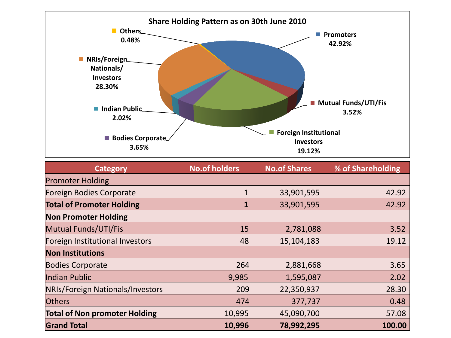

| <b>Category</b>                         | <b>No.of holders</b> | <b>No.of Shares</b> | % of Shareholding |
|-----------------------------------------|----------------------|---------------------|-------------------|
| <b>Promoter Holding</b>                 |                      |                     |                   |
| <b>Foreign Bodies Corporate</b>         | $\mathbf{1}$         | 33,901,595          | 42.92             |
| <b>Total of Promoter Holding</b>        |                      | 33,901,595          | 42.92             |
| <b>Non Promoter Holding</b>             |                      |                     |                   |
| Mutual Funds/UTI/Fis                    | 15                   | 2,781,088           | 3.52              |
| Foreign Institutional Investors         | 48                   | 15,104,183          | 19.12             |
| <b>Non Institutions</b>                 |                      |                     |                   |
| <b>Bodies Corporate</b>                 | 264                  | 2,881,668           | 3.65              |
| Indian Public                           | 9,985                | 1,595,087           | 2.02              |
| <b>NRIs/Foreign Nationals/Investors</b> | 209                  | 22,350,937          | 28.30             |
| <b>Others</b>                           | 474                  | 377,737             | 0.48              |
| <b>Total of Non promoter Holding</b>    | 10,995               | 45,090,700          | 57.08             |
| <b>Grand Total</b>                      | 10,996               | 78,992,295          | 100.00            |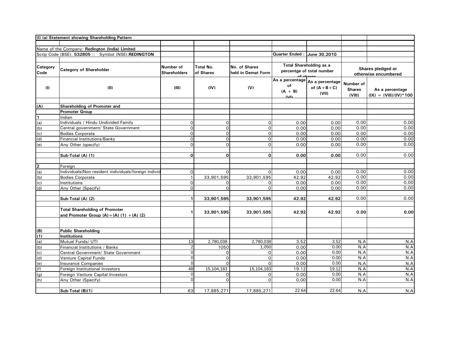|                 | (I) (a) Statement showing Shareholding Pattern                         |                     |                  |                    |                       |                                 |               |                          |
|-----------------|------------------------------------------------------------------------|---------------------|------------------|--------------------|-----------------------|---------------------------------|---------------|--------------------------|
|                 |                                                                        |                     |                  |                    |                       |                                 |               |                          |
|                 | Name of the Company: Redington (India) Limited                         |                     |                  |                    |                       |                                 |               |                          |
|                 | Scrip Code (BSE): 532805 :: Symbol (NSE):REDINGTON                     |                     |                  |                    | <b>Quarter Ended:</b> | June 30,2010                    |               |                          |
|                 |                                                                        |                     |                  |                    |                       |                                 |               |                          |
| <b>Category</b> |                                                                        | Number of           | <b>Total No.</b> | No. of Shares      |                       | <b>Total Shareholding as a</b>  |               | Shares pledged or        |
| Code            | <b>Category of Shareholder</b>                                         | <b>Shareholders</b> | of Shares        | held in Demat Form |                       | percentge of total number       |               | otherwise encumbered     |
|                 |                                                                        |                     |                  |                    |                       |                                 |               |                          |
|                 |                                                                        |                     |                  |                    | of                    | As a percentage As a percentage | Number of     |                          |
| (1)             | (II)                                                                   | (III)               | (IV)             | (V)                | $(A + B)$             | of $(A + B + C)$                | <b>Shares</b> | As a percentage          |
|                 |                                                                        |                     |                  |                    | $\mathbf{N}$          | (VII)                           | (VIII)        | $(IX) = (VIII)/(IV)*100$ |
|                 |                                                                        |                     |                  |                    |                       |                                 |               |                          |
| (A)             | <b>Shareholding of Promoter and</b>                                    |                     |                  |                    |                       |                                 |               |                          |
|                 | <b>Promoter Group</b>                                                  |                     |                  |                    |                       |                                 |               |                          |
| 1               | Indian                                                                 |                     |                  |                    |                       |                                 |               |                          |
| (a)             | Individuals / Hindu Undivided Family                                   | $\Omega$            | $\Omega$         | $\overline{O}$     | 0.00                  | 0.00                            | 0.00          | 0.00                     |
| (b)             | Central government/ State Government                                   | $\Omega$            | ∩                | $\overline{O}$     | 0.00                  | 0.00                            | 0.00          | 0.00                     |
| (c)             | <b>Bodies Corporate</b>                                                | O                   | $\Omega$         | $\circ$            | 0.00                  | 0.00                            | 0.00          | 0.00                     |
| (d)             | <b>Financial Institutions/Banks</b>                                    | 0                   | $\Omega$         | $\overline{O}$     | 0.00                  | 0.00                            | 0.00          | 0.00                     |
| (e)             | Any Other (specify)                                                    | $\Omega$            | $\Omega$         | $\circ$            | 0.00                  | 0.00                            | 0.00          | 0.00                     |
|                 |                                                                        |                     |                  |                    |                       |                                 |               |                          |
|                 | Sub-Total (A) (1)                                                      | $\Omega$            | $\Omega$         | $\overline{0}$     | 0.00                  | 0.00                            | 0.00          | 0.00                     |
|                 | Foreign                                                                |                     |                  |                    |                       |                                 |               |                          |
| $\frac{2}{(a)}$ | Individuals(Non resident individuals/foreign individ                   | $\Omega$            | $\Omega$         | $\Omega$           | 0.00                  | 0.00                            | 0.00          | 0.00                     |
| (b)             | <b>Bodies Corporate</b>                                                |                     | 33,901,595       | 33,901,595         | 42.92                 | 42.92                           | 0.00          | 0.00                     |
| (c)             | Institutions                                                           | $\Omega$            |                  | Οl                 | 0.00                  | 0.00                            | 0.00          | 0.00                     |
| (d)             | Any Other (Specify)                                                    | ∩                   |                  | $\Omega$           | 0.00                  | 0.00                            | 0.00          | 0.00                     |
|                 |                                                                        |                     |                  |                    |                       |                                 |               |                          |
|                 | Sub-Total (A) (2)                                                      |                     | 33,901,595       | 33,901,595         | 42.92                 | 42.92                           | 0.00          | 0.00                     |
|                 |                                                                        |                     |                  |                    |                       |                                 |               |                          |
|                 | <b>Total Shareholding of Promoter</b>                                  |                     | 33,901,595       | 33,901,595         | 42.92                 | 42.92                           | 0.00          | 0.00                     |
|                 | and Promoter Group $(A) = (A) (1) + (A) (2)$                           |                     |                  |                    |                       |                                 |               |                          |
|                 |                                                                        |                     |                  |                    |                       |                                 |               |                          |
|                 |                                                                        |                     |                  |                    |                       |                                 |               |                          |
| (B)             | <b>Public Shareholding</b>                                             |                     |                  |                    |                       |                                 |               |                          |
| (1)             | Institutions                                                           |                     |                  |                    |                       |                                 |               |                          |
| (a)             | Mutual Funds/ UTI                                                      | 13                  | 2,780,038        | 2,780,038<br>1,050 | 3.52<br>0.00          | 3.52<br>0.00                    | N.A<br>N.A    | N.A<br>N.A               |
| (b)<br>(c)      | Financial Institutions / Banks<br>Central Government/ State Government |                     | 1050<br>$\Omega$ | $\overline{O}$     | 0.00                  | 0.00                            | N.A           | N.A                      |
| (d)             | <b>Venture Capital Funds</b>                                           |                     | ∩                | $\circ$            | 0.00                  | 0.00                            | N.A           | N.A                      |
| (e)             | <b>Insurance Companies</b>                                             | $\Omega$            | $\Omega$         | $\Omega$           | 0.00                  | 0.00                            | N.A           | N.A                      |
| (f)             | Foreign Institutional Investors                                        | 48                  | 15,104,183       | 15,104,183         | 19.12                 | 19.12                           | N.A           | N.A                      |
| (g)             | Foreign Venture Capital Investors                                      | 0                   | $\Omega$         | $\overline{O}$     | 0.00                  | 0.00                            | N.A           | N.A                      |
| (h)             | Any Other (Specify)                                                    | $\Omega$            | $\Omega$         | $\overline{O}$     | 0.00                  | 0.00                            | N.A           | N.A                      |
|                 |                                                                        |                     |                  |                    |                       |                                 |               |                          |
|                 | Sub-Total (B)(1)                                                       | 63                  | 17,885,271       | 17,885,271         | 22.64                 | 22.64                           | N.A           | N.A                      |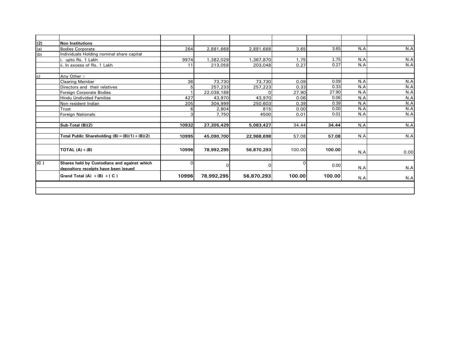| (2)         | Non Institutions                                  |          |            |            |        |        |     |      |
|-------------|---------------------------------------------------|----------|------------|------------|--------|--------|-----|------|
| (a)         | <b>Bodies Corporate</b>                           | 264      | 2,881,668  | 2,881,668  | 3.65   | 3.65   | N.A | N.A  |
| (b)         | Individuals Holding nominal share capital         |          |            |            |        |        |     |      |
|             | upto Rs. 1 Lakh                                   | 9974     | ,382,029   | ,367,870   | 1.75   | 1.75   | N.A | N.A  |
|             | ii. In excess of Rs. 1 Lakh                       | 11       | 213,058    | 203,048    | 0.27   | 0.27   | N.A | N.A  |
|             |                                                   |          |            |            |        |        |     |      |
| $ c\rangle$ | Any Other :-                                      |          |            |            |        |        |     |      |
|             | <b>Clearing Member</b>                            | 36       | 73,730     | 73,730     | 0.09   | 0.09   | N.A | N.A  |
|             | Directors and their relatives                     |          | 257,233    | 257,223    | 0.33   | 0.33   | N.A | N.A  |
|             | <b>Foreign Corporate Bodies</b>                   |          | 22,038,188 |            | 27.90  | 27.90  | N.A | N.A  |
|             | Hindu Undivided Families                          | 427      | 43,970     | 43,970     | 0.06   | 0.06   | N.A | N.A  |
|             | Non resident Indian                               | 205      | 304,999    | 250,603    | 0.39   | 0.39   | N.A | N.A  |
|             | <b>Trust</b>                                      | 6        | 2,804      | 815        | 0.00   | 0.00   | N.A | N.A  |
|             | <b>Foreign Nationals</b>                          | 3        | 7,750      | 4500       | 0.01   | 0.01   | N.A | N.A  |
|             |                                                   |          |            |            |        |        |     |      |
|             | Sub-Total (B)(2)                                  | 10932    | 27,205,429 | 5,083,427  | 34.44  | 34.44  | N.A | N.A  |
|             |                                                   |          |            |            |        |        |     |      |
|             | Total Public Shareholding $(B) = (B)(1) + (B)(2)$ | 10995    | 45,090,700 | 22,968,698 | 57.08  | 57.08  | N.A | N.A  |
|             | TOTAL $(A) + (B)$                                 | 10996    | 78,992,295 | 56,870,293 | 100.00 | 100.00 |     |      |
|             |                                                   |          |            |            |        |        | N.A | 0.00 |
| (C)         | Shares held by Custodians and against which       | $\Omega$ |            |            |        |        |     |      |
|             | depository receipts have been issued              |          | ∩          | 0          |        | 0.00   | N.A | N.A  |
|             | Grand Total $(A) + (B) + (C)$                     | 10996    | 78,992,295 | 56,870,293 | 100.00 | 100.00 | N.A | N.A  |
|             |                                                   |          |            |            |        |        |     |      |
|             |                                                   |          |            |            |        |        |     |      |
|             |                                                   |          |            |            |        |        |     |      |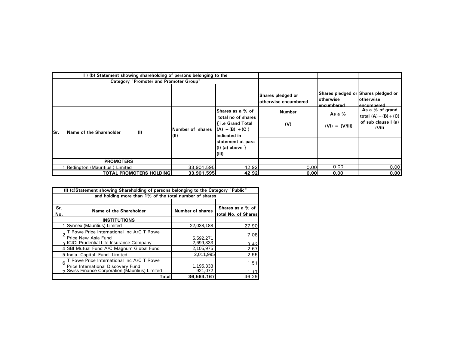|     | I) (b) Statement showing shareholding of persons belonging to the |                                                                                                          |                   |                                           |                                            |                                                                 |  |  |  |  |  |  |
|-----|-------------------------------------------------------------------|----------------------------------------------------------------------------------------------------------|-------------------|-------------------------------------------|--------------------------------------------|-----------------------------------------------------------------|--|--|--|--|--|--|
|     | <b>Category "Promoter and Promoter Group"</b>                     |                                                                                                          |                   |                                           |                                            |                                                                 |  |  |  |  |  |  |
|     |                                                                   |                                                                                                          |                   |                                           |                                            |                                                                 |  |  |  |  |  |  |
|     |                                                                   |                                                                                                          |                   | Shares pledged or<br>otherwise encumbered | lotherwise<br>encumbered                   | Shares pledged or Shares pledged or<br>lotherwise<br>encumbered |  |  |  |  |  |  |
|     |                                                                   | Shares as a % of<br>total no of shares                                                                   | <b>Number</b>     | As a %                                    | As a % of grand<br>total $(A) + (B) + (C)$ |                                                                 |  |  |  |  |  |  |
|     |                                                                   |                                                                                                          | { i.e Grand Total | (V)                                       | $(VI) = (V/III)$                           | of sub clause I (a)<br>IVIII                                    |  |  |  |  |  |  |
| Sr. | (1)<br><b>Name of the Shareholder</b>                             | Number of shares $ (A) + (B) + (C)$<br>(II)<br>Indicated in<br>statement at para<br>$(1)$ (a) above $\}$ |                   |                                           |                                            |                                                                 |  |  |  |  |  |  |
|     |                                                                   |                                                                                                          |                   |                                           |                                            |                                                                 |  |  |  |  |  |  |
|     |                                                                   |                                                                                                          |                   |                                           |                                            |                                                                 |  |  |  |  |  |  |
|     |                                                                   |                                                                                                          | (III)             |                                           |                                            |                                                                 |  |  |  |  |  |  |
|     | <b>PROMOTERS</b>                                                  |                                                                                                          |                   |                                           |                                            |                                                                 |  |  |  |  |  |  |
|     | I Redington (Mauritius) Limited                                   | 33,901,595                                                                                               | 42.92             | 0.00                                      | 0.00                                       | 0.00                                                            |  |  |  |  |  |  |
|     | <b>TOTAL PROMOTERS HOLDING</b>                                    | 33,901,595                                                                                               | 42.92             | 0.00                                      | 0.00                                       | 0.00                                                            |  |  |  |  |  |  |

|     | (I) (c)Statement showing Shareholding of persons belonging to the Category "Public" |                         |                     |  |  |  |  |
|-----|-------------------------------------------------------------------------------------|-------------------------|---------------------|--|--|--|--|
|     | and holding more than 1% of the total number of shares                              |                         |                     |  |  |  |  |
|     |                                                                                     |                         |                     |  |  |  |  |
| Sr. | Name of the Shareholder                                                             | <b>Number of shares</b> | Shares as a % of    |  |  |  |  |
| No. |                                                                                     |                         | total No. of Shares |  |  |  |  |
|     | <b>INSTITUTIONS</b>                                                                 |                         |                     |  |  |  |  |
|     | Synnex (Mauritius) Limited                                                          | 22,038,188              | 27.90               |  |  |  |  |
|     | T Rowe Price International Inc A/C T Rowe                                           |                         | 7.08                |  |  |  |  |
|     | Price New Asia Fund                                                                 | 5,592,271               |                     |  |  |  |  |
|     | <b>3 CICI</b> Prudential Life Insurance Company                                     | 2,699,333               | 3.42                |  |  |  |  |
|     | 4 SBI Mutual Fund A/C Magnum Global Fund                                            | 2,105,975               | 2.67                |  |  |  |  |
|     | 5 India Capital Fund Limited                                                        | 2,011,995               | 2.55                |  |  |  |  |
| 6   | T Rowe Price International Inc A/C T Rowe                                           |                         | 1.51                |  |  |  |  |
|     | Price International Discovery Fund                                                  | 1.195.333               |                     |  |  |  |  |
|     | Swiss Finance Corporation (Mauritius) Limited                                       | 921,072                 |                     |  |  |  |  |
|     | Totall                                                                              | 36,564,167              | 46.29               |  |  |  |  |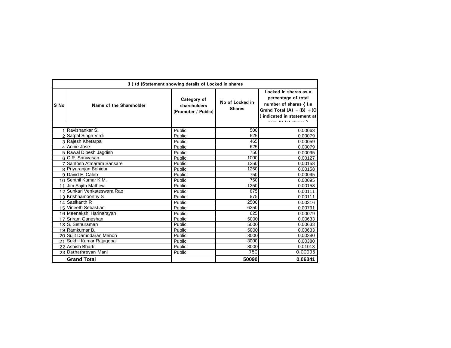|      | (I) (d) Statement showing details of Locked in shares |                                                    |                                  |                                                                                                                                        |  |  |
|------|-------------------------------------------------------|----------------------------------------------------|----------------------------------|----------------------------------------------------------------------------------------------------------------------------------------|--|--|
| S No | Name of the Shareholder                               | Category of<br>shareholders<br>(Promoter / Public) | No of Locked in<br><b>Shares</b> | Locked In shares as a<br>percentage of total<br>number of shares { I.e<br>Grand Total $(A) + (B) + (C)$<br>) indicated in statement at |  |  |
|      | Ravishankar S.                                        | Public                                             | 500                              | 0.00063                                                                                                                                |  |  |
|      | 2 Satpal Singh Virdi                                  | Public                                             | 625                              | 0.00079                                                                                                                                |  |  |
|      | 3 Rajesh Khetarpal                                    | Public                                             | 465                              | 0.00059                                                                                                                                |  |  |
|      | 4 Annie Jose                                          | Public                                             | 625                              | 0.00079                                                                                                                                |  |  |
|      | 5 Rawal Dipesh Jagdish                                | Public                                             | 750                              | 0.00095                                                                                                                                |  |  |
|      | 6 C.R. Srinivasan                                     | Public                                             | 1000                             | 0.00127                                                                                                                                |  |  |
|      | 7 Santosh Atmaram Sansare                             | Public                                             | 1250                             | 0.00158                                                                                                                                |  |  |
|      | 8 Priyaranjan Bohidar                                 | Public                                             | 1250                             | 0.00158                                                                                                                                |  |  |
|      | 9 David E. Caleb                                      | Public                                             | 750                              | 0.00095                                                                                                                                |  |  |
|      | 10 Senthil Kumar K.M.                                 | Public                                             | 750                              | 0.00095                                                                                                                                |  |  |
|      | 11 Jim Sujith Mathew                                  | Public                                             | 1250                             | 0.00158                                                                                                                                |  |  |
|      | 12 Sunkari Venkateswara Rao                           | Public                                             | 875                              | 0.00111                                                                                                                                |  |  |
|      | 13 Krishnamoorthy S                                   | Public                                             | 875                              | 0.00111                                                                                                                                |  |  |
|      | 14 Sasikanth R                                        | Public                                             | 2500                             | 0.00316                                                                                                                                |  |  |
|      | 15 Vineeth Sebastian                                  | Public                                             | 6250                             | 0.00791                                                                                                                                |  |  |
|      | 16 Meenakshi Harinarayan                              | Public                                             | 625                              | 0.00079                                                                                                                                |  |  |
|      | 17 Sriram Ganeshan                                    | Public                                             | 5000                             | 0.00633                                                                                                                                |  |  |
|      | 18S. Sethuraman                                       | Public                                             | 5000                             | 0.00633                                                                                                                                |  |  |
|      | 19 Ramkumar B.                                        | Public                                             | 5000                             | 0.00633                                                                                                                                |  |  |
|      | 20 Sujit Damodaran Menon                              | Public                                             | 3000                             | 0.00380                                                                                                                                |  |  |
|      | 21 Sukhil Kumar Rajagopal                             | Public                                             | 3000                             | 0.00380                                                                                                                                |  |  |
|      | 22 Ashish Bharti                                      | Public                                             | 8000                             | 0.01013                                                                                                                                |  |  |
|      | 23 Dathathreyan Mani                                  | Public                                             | 750                              | 0.00095                                                                                                                                |  |  |
|      | <b>Grand Total</b>                                    |                                                    | 50090                            | 0.06341                                                                                                                                |  |  |